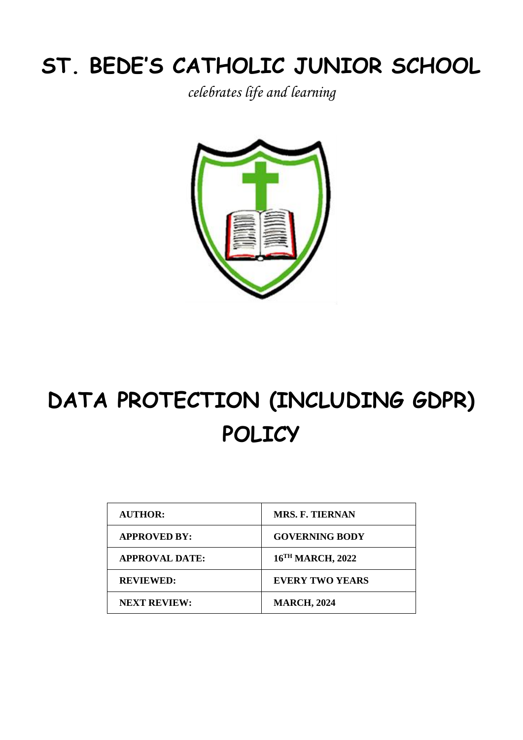# **ST. BEDE'S CATHOLIC JUNIOR SCHOOL**

*celebrates life and learning*



# **DATA PROTECTION (INCLUDING GDPR) POLICY**

| <b>MRS. F. TIERNAN</b>       |
|------------------------------|
| <b>GOVERNING BODY</b>        |
| 16 <sup>TH</sup> MARCH, 2022 |
| <b>EVERY TWO YEARS</b>       |
| <b>MARCH, 2024</b>           |
|                              |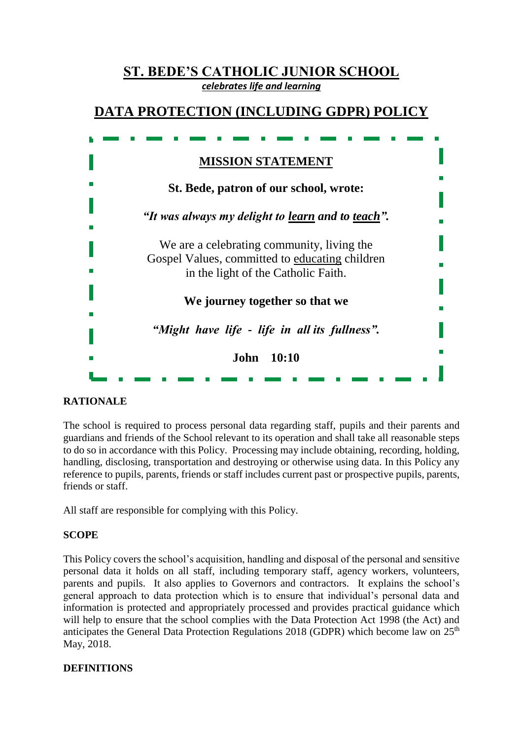| <b>ST. BEDE'S CATHOLIC JUNIOR SCHOOL</b><br>celebrates life and learning                     |
|----------------------------------------------------------------------------------------------|
| DATA PROTECTION (INCLUDING GDPR) POLICY                                                      |
|                                                                                              |
| <b>MISSION STATEMENT</b>                                                                     |
| St. Bede, patron of our school, wrote:                                                       |
| "It was always my delight to learn and to teach".                                            |
| We are a celebrating community, living the<br>Gospel Values, committed to educating children |
| in the light of the Catholic Faith.                                                          |
| We journey together so that we                                                               |
| "Might have life - life in all its fullness".                                                |
| John 10:10                                                                                   |
|                                                                                              |

# **RATIONALE**

The school is required to process personal data regarding staff, pupils and their parents and guardians and friends of the School relevant to its operation and shall take all reasonable steps to do so in accordance with this Policy. Processing may include obtaining, recording, holding, handling, disclosing, transportation and destroying or otherwise using data. In this Policy any reference to pupils, parents, friends or staff includes current past or prospective pupils, parents, friends or staff.

All staff are responsible for complying with this Policy.

# **SCOPE**

This Policy covers the school's acquisition, handling and disposal of the personal and sensitive personal data it holds on all staff, including temporary staff, agency workers, volunteers, parents and pupils. It also applies to Governors and contractors. It explains the school's general approach to data protection which is to ensure that individual's personal data and information is protected and appropriately processed and provides practical guidance which will help to ensure that the school complies with the Data Protection Act 1998 (the Act) and anticipates the General Data Protection Regulations 2018 (GDPR) which become law on  $25<sup>th</sup>$ May, 2018.

# **DEFINITIONS**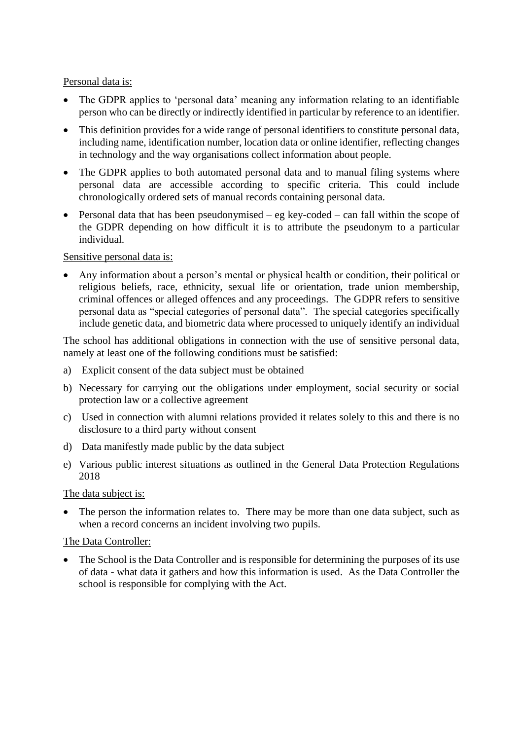#### Personal data is:

- The GDPR applies to 'personal data' meaning any information relating to an identifiable person who can be directly or indirectly identified in particular by reference to an identifier.
- This definition provides for a wide range of personal identifiers to constitute personal data, including name, identification number, location data or online identifier, reflecting changes in technology and the way organisations collect information about people.
- The GDPR applies to both automated personal data and to manual filing systems where personal data are accessible according to specific criteria. This could include chronologically ordered sets of manual records containing personal data.
- Personal data that has been pseudonymised eg key-coded can fall within the scope of the GDPR depending on how difficult it is to attribute the pseudonym to a particular individual.

#### Sensitive personal data is:

• Any information about a person's mental or physical health or condition, their political or religious beliefs, race, ethnicity, sexual life or orientation, trade union membership, criminal offences or alleged offences and any proceedings. The GDPR refers to sensitive personal data as "special categories of personal data". The special categories specifically include genetic data, and biometric data where processed to uniquely identify an individual

The school has additional obligations in connection with the use of sensitive personal data, namely at least one of the following conditions must be satisfied:

- a) Explicit consent of the data subject must be obtained
- b) Necessary for carrying out the obligations under employment, social security or social protection law or a collective agreement
- c) Used in connection with alumni relations provided it relates solely to this and there is no disclosure to a third party without consent
- d) Data manifestly made public by the data subject
- e) Various public interest situations as outlined in the General Data Protection Regulations 2018

#### The data subject is:

• The person the information relates to. There may be more than one data subject, such as when a record concerns an incident involving two pupils.

#### The Data Controller:

• The School is the Data Controller and is responsible for determining the purposes of its use of data - what data it gathers and how this information is used. As the Data Controller the school is responsible for complying with the Act.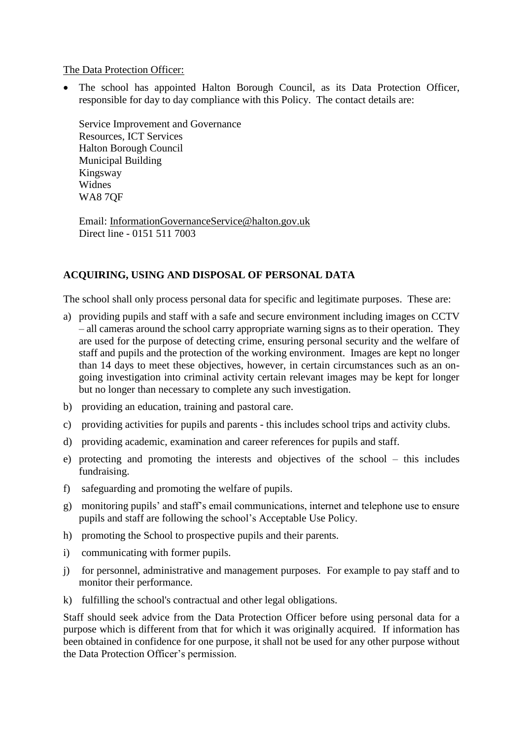The Data Protection Officer:

• The school has appointed Halton Borough Council, as its Data Protection Officer, responsible for day to day compliance with this Policy. The contact details are:

Service Improvement and Governance Resources, ICT Services Halton Borough Council Municipal Building Kingsway Widnes WA8 7QF

Email: [InformationGovernanceService@halton.gov.uk](mailto:InformationGovernanceService@halton.gov.uk) Direct line - 0151 511 7003

# **ACQUIRING, USING AND DISPOSAL OF PERSONAL DATA**

The school shall only process personal data for specific and legitimate purposes. These are:

- a) providing pupils and staff with a safe and secure environment including images on CCTV – all cameras around the school carry appropriate warning signs as to their operation. They are used for the purpose of detecting crime, ensuring personal security and the welfare of staff and pupils and the protection of the working environment. Images are kept no longer than 14 days to meet these objectives, however, in certain circumstances such as an ongoing investigation into criminal activity certain relevant images may be kept for longer but no longer than necessary to complete any such investigation.
- b) providing an education, training and pastoral care.
- c) providing activities for pupils and parents this includes school trips and activity clubs.
- d) providing academic, examination and career references for pupils and staff.
- e) protecting and promoting the interests and objectives of the school this includes fundraising.
- f) safeguarding and promoting the welfare of pupils.
- g) monitoring pupils' and staff's email communications, internet and telephone use to ensure pupils and staff are following the school's Acceptable Use Policy.
- h) promoting the School to prospective pupils and their parents.
- i) communicating with former pupils.
- j) for personnel, administrative and management purposes. For example to pay staff and to monitor their performance.
- k) fulfilling the school's contractual and other legal obligations.

Staff should seek advice from the Data Protection Officer before using personal data for a purpose which is different from that for which it was originally acquired. If information has been obtained in confidence for one purpose, it shall not be used for any other purpose without the Data Protection Officer's permission.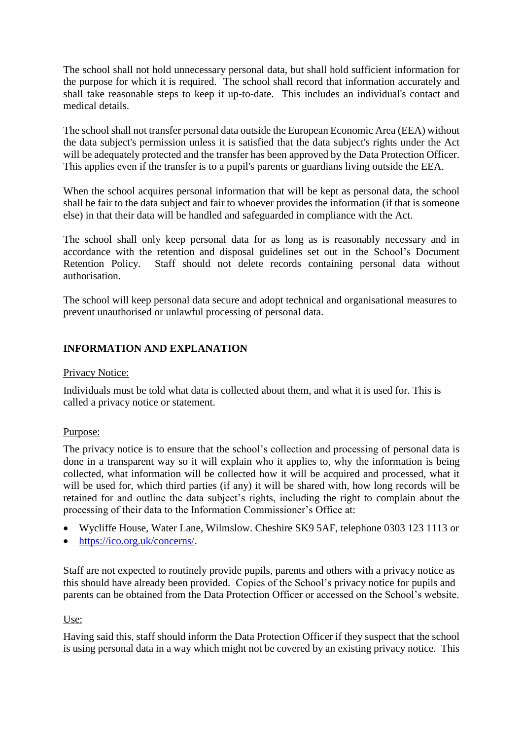The school shall not hold unnecessary personal data, but shall hold sufficient information for the purpose for which it is required. The school shall record that information accurately and shall take reasonable steps to keep it up-to-date. This includes an individual's contact and medical details.

The school shall not transfer personal data outside the European Economic Area (EEA) without the data subject's permission unless it is satisfied that the data subject's rights under the Act will be adequately protected and the transfer has been approved by the Data Protection Officer. This applies even if the transfer is to a pupil's parents or guardians living outside the EEA.

When the school acquires personal information that will be kept as personal data, the school shall be fair to the data subject and fair to whoever provides the information (if that is someone else) in that their data will be handled and safeguarded in compliance with the Act.

The school shall only keep personal data for as long as is reasonably necessary and in accordance with the retention and disposal guidelines set out in the School's Document Retention Policy. Staff should not delete records containing personal data without authorisation.

The school will keep personal data secure and adopt technical and organisational measures to prevent unauthorised or unlawful processing of personal data.

# **INFORMATION AND EXPLANATION**

#### Privacy Notice:

Individuals must be told what data is collected about them, and what it is used for. This is called a privacy notice or statement.

# Purpose:

The privacy notice is to ensure that the school's collection and processing of personal data is done in a transparent way so it will explain who it applies to, why the information is being collected, what information will be collected how it will be acquired and processed, what it will be used for, which third parties (if any) it will be shared with, how long records will be retained for and outline the data subject's rights, including the right to complain about the processing of their data to the Information Commissioner's Office at:

- Wycliffe House, Water Lane, Wilmslow. Cheshire SK9 5AF, telephone 0303 123 1113 or
- [https://ico.org.uk/concerns/.](https://ico.org.uk/concerns/)

Staff are not expected to routinely provide pupils, parents and others with a privacy notice as this should have already been provided. Copies of the School's privacy notice for pupils and parents can be obtained from the Data Protection Officer or accessed on the School's website.

#### Use:

Having said this, staff should inform the Data Protection Officer if they suspect that the school is using personal data in a way which might not be covered by an existing privacy notice. This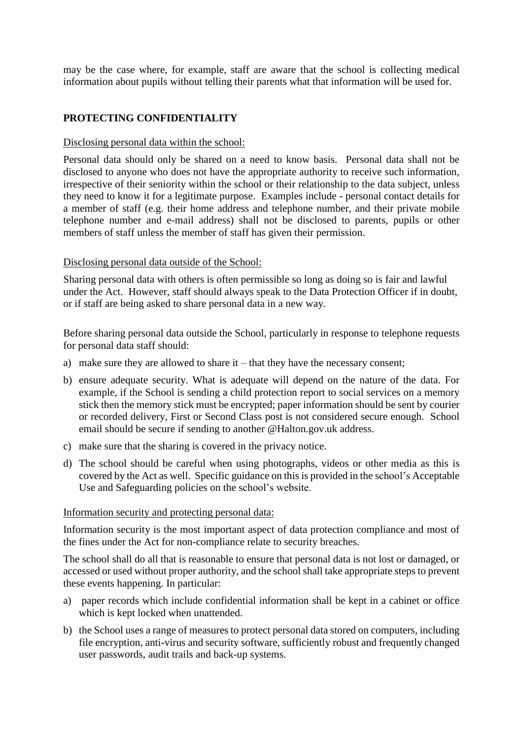may be the case where, for example, staff are aware that the school is collecting medical information about pupils without telling their parents what that information will be used for.

# **PROTECTING CONFIDENTIALITY**

#### Disclosing personal data within the school:

Personal data should only be shared on a need to know basis. Personal data shall not be disclosed to anyone who does not have the appropriate authority to receive such information, irrespective of their seniority within the school or their relationship to the data subject, unless they need to know it for a legitimate purpose. Examples include - personal contact details for a member of staff (e.g. their home address and telephone number, and their private mobile telephone number and e-mail address) shall not be disclosed to parents, pupils or other members of staff unless the member of staff has given their permission.

#### Disclosing personal data outside of the School:

Sharing personal data with others is often permissible so long as doing so is fair and lawful under the Act. However, staff should always speak to the Data Protection Officer if in doubt, or if staff are being asked to share personal data in a new way.

Before sharing personal data outside the School, particularly in response to telephone requests for personal data staff should:

- a) make sure they are allowed to share it that they have the necessary consent;
- b) ensure adequate security. What is adequate will depend on the nature of the data. For example, if the School is sending a child protection report to social services on a memory stick then the memory stick must be encrypted; paper information should be sent by courier or recorded delivery, First or Second Class post is not considered secure enough. School email should be secure if sending to another @Halton.gov.uk address.
- c) make sure that the sharing is covered in the privacy notice.
- d) The school should be careful when using photographs, videos or other media as this is covered by the Act as well. Specific guidance on this is provided in the school's Acceptable Use and Safeguarding policies on the school's website.

#### Information security and protecting personal data:

Information security is the most important aspect of data protection compliance and most of the fines under the Act for non-compliance relate to security breaches.

The school shall do all that is reasonable to ensure that personal data is not lost or damaged, or accessed or used without proper authority, and the school shall take appropriate steps to prevent these events happening. In particular:

- a) paper records which include confidential information shall be kept in a cabinet or office which is kept locked when unattended.
- b) the School uses a range of measures to protect personal data stored on computers, including file encryption, anti-virus and security software, sufficiently robust and frequently changed user passwords, audit trails and back-up systems.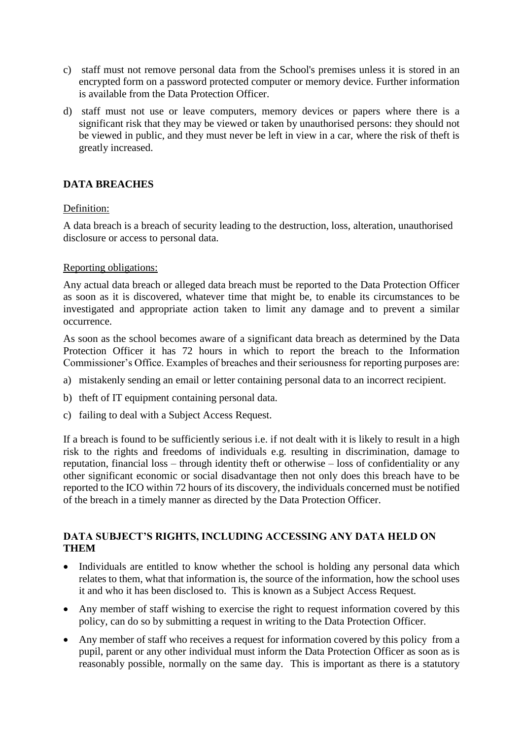- c) staff must not remove personal data from the School's premises unless it is stored in an encrypted form on a password protected computer or memory device. Further information is available from the Data Protection Officer.
- d) staff must not use or leave computers, memory devices or papers where there is a significant risk that they may be viewed or taken by unauthorised persons: they should not be viewed in public, and they must never be left in view in a car, where the risk of theft is greatly increased.

# **DATA BREACHES**

# Definition:

A data breach is a breach of security leading to the destruction, loss, alteration, unauthorised disclosure or access to personal data.

#### Reporting obligations:

Any actual data breach or alleged data breach must be reported to the Data Protection Officer as soon as it is discovered, whatever time that might be, to enable its circumstances to be investigated and appropriate action taken to limit any damage and to prevent a similar occurrence.

As soon as the school becomes aware of a significant data breach as determined by the Data Protection Officer it has 72 hours in which to report the breach to the Information Commissioner's Office. Examples of breaches and their seriousness for reporting purposes are:

- a) mistakenly sending an email or letter containing personal data to an incorrect recipient.
- b) theft of IT equipment containing personal data.
- c) failing to deal with a Subject Access Request.

If a breach is found to be sufficiently serious i.e. if not dealt with it is likely to result in a high risk to the rights and freedoms of individuals e.g. resulting in discrimination, damage to reputation, financial loss – through identity theft or otherwise – loss of confidentiality or any other significant economic or social disadvantage then not only does this breach have to be reported to the ICO within 72 hours of its discovery, the individuals concerned must be notified of the breach in a timely manner as directed by the Data Protection Officer.

# **DATA SUBJECT'S RIGHTS, INCLUDING ACCESSING ANY DATA HELD ON THEM**

- Individuals are entitled to know whether the school is holding any personal data which relates to them, what that information is, the source of the information, how the school uses it and who it has been disclosed to. This is known as a Subject Access Request.
- Any member of staff wishing to exercise the right to request information covered by this policy, can do so by submitting a request in writing to the Data Protection Officer.
- Any member of staff who receives a request for information covered by this policy from a pupil, parent or any other individual must inform the Data Protection Officer as soon as is reasonably possible, normally on the same day. This is important as there is a statutory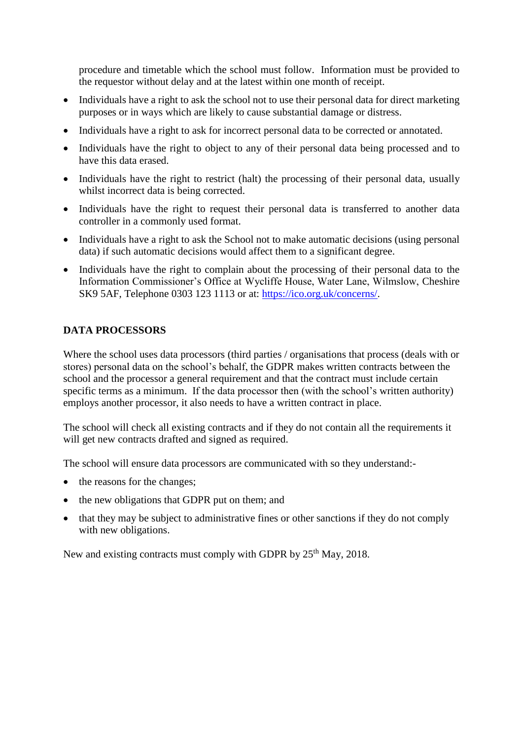procedure and timetable which the school must follow. Information must be provided to the requestor without delay and at the latest within one month of receipt.

- Individuals have a right to ask the school not to use their personal data for direct marketing purposes or in ways which are likely to cause substantial damage or distress.
- Individuals have a right to ask for incorrect personal data to be corrected or annotated.
- Individuals have the right to object to any of their personal data being processed and to have this data erased.
- Individuals have the right to restrict (halt) the processing of their personal data, usually whilst incorrect data is being corrected.
- Individuals have the right to request their personal data is transferred to another data controller in a commonly used format.
- Individuals have a right to ask the School not to make automatic decisions (using personal data) if such automatic decisions would affect them to a significant degree.
- Individuals have the right to complain about the processing of their personal data to the Information Commissioner's Office at Wycliffe House, Water Lane, Wilmslow, Cheshire SK9 5AF, Telephone 0303 123 1113 or at: [https://ico.org.uk/concerns/.](https://ico.org.uk/concerns/)

# **DATA PROCESSORS**

Where the school uses data processors (third parties / organisations that process (deals with or stores) personal data on the school's behalf, the GDPR makes written contracts between the school and the processor a general requirement and that the contract must include certain specific terms as a minimum. If the data processor then (with the school's written authority) employs another processor, it also needs to have a written contract in place.

The school will check all existing contracts and if they do not contain all the requirements it will get new contracts drafted and signed as required.

The school will ensure data processors are communicated with so they understand:-

- the reasons for the changes;
- the new obligations that GDPR put on them; and
- that they may be subject to administrative fines or other sanctions if they do not comply with new obligations.

New and existing contracts must comply with GDPR by  $25<sup>th</sup>$  May, 2018.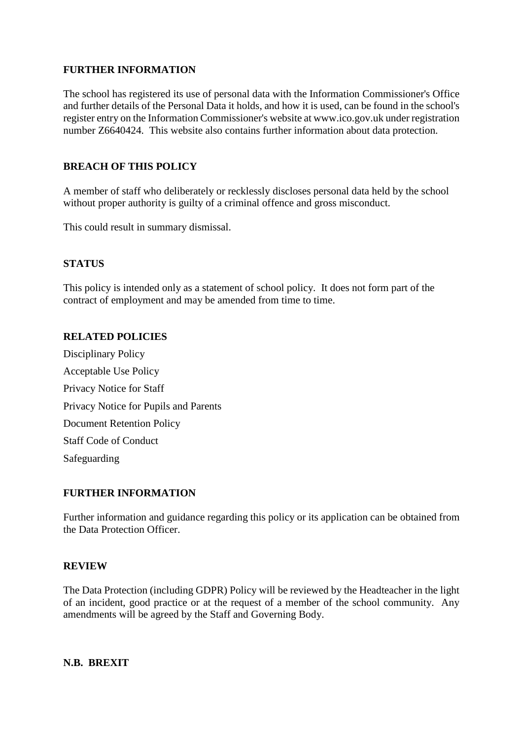# **FURTHER INFORMATION**

The school has registered its use of personal data with the Information Commissioner's Office and further details of the Personal Data it holds, and how it is used, can be found in the school's register entry on the Information Commissioner's website at www.ico.gov.uk under registration number Z6640424. This website also contains further information about data protection.

# **BREACH OF THIS POLICY**

A member of staff who deliberately or recklessly discloses personal data held by the school without proper authority is guilty of a criminal offence and gross misconduct.

This could result in summary dismissal.

#### **STATUS**

This policy is intended only as a statement of school policy. It does not form part of the contract of employment and may be amended from time to time.

#### **RELATED POLICIES**

Disciplinary Policy Acceptable Use Policy Privacy Notice for Staff Privacy Notice for Pupils and Parents Document Retention Policy Staff Code of Conduct Safeguarding

#### **FURTHER INFORMATION**

Further information and guidance regarding this policy or its application can be obtained from the Data Protection Officer.

#### **REVIEW**

The Data Protection (including GDPR) Policy will be reviewed by the Headteacher in the light of an incident, good practice or at the request of a member of the school community. Any amendments will be agreed by the Staff and Governing Body.

**N.B. BREXIT**